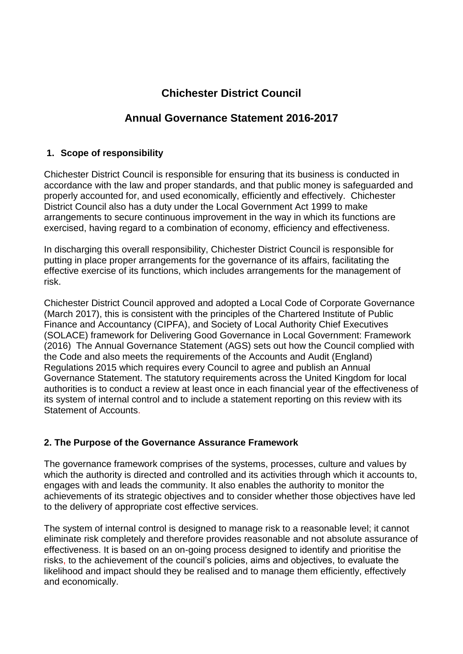# **Chichester District Council**

# **Annual Governance Statement 2016-2017**

# **1. Scope of responsibility**

Chichester District Council is responsible for ensuring that its business is conducted in accordance with the law and proper standards, and that public money is safeguarded and properly accounted for, and used economically, efficiently and effectively. Chichester District Council also has a duty under the Local Government Act 1999 to make arrangements to secure continuous improvement in the way in which its functions are exercised, having regard to a combination of economy, efficiency and effectiveness.

In discharging this overall responsibility, Chichester District Council is responsible for putting in place proper arrangements for the governance of its affairs, facilitating the effective exercise of its functions, which includes arrangements for the management of risk.

Chichester District Council approved and adopted a Local Code of Corporate Governance (March 2017), this is consistent with the principles of the Chartered Institute of Public Finance and Accountancy (CIPFA), and Society of Local Authority Chief Executives (SOLACE) framework for Delivering Good Governance in Local Government: Framework (2016) The Annual Governance Statement (AGS) sets out how the Council complied with the Code and also meets the requirements of the Accounts and Audit (England) Regulations 2015 which requires every Council to agree and publish an Annual Governance Statement. The statutory requirements across the United Kingdom for local authorities is to conduct a review at least once in each financial year of the effectiveness of its system of internal control and to include a statement reporting on this review with its Statement of Accounts.

## **2. The Purpose of the Governance Assurance Framework**

The governance framework comprises of the systems, processes, culture and values by which the authority is directed and controlled and its activities through which it accounts to, engages with and leads the community. It also enables the authority to monitor the achievements of its strategic objectives and to consider whether those objectives have led to the delivery of appropriate cost effective services.

The system of internal control is designed to manage risk to a reasonable level; it cannot eliminate risk completely and therefore provides reasonable and not absolute assurance of effectiveness. It is based on an on-going process designed to identify and prioritise the risks, to the achievement of the council's policies, aims and objectives, to evaluate the likelihood and impact should they be realised and to manage them efficiently, effectively and economically.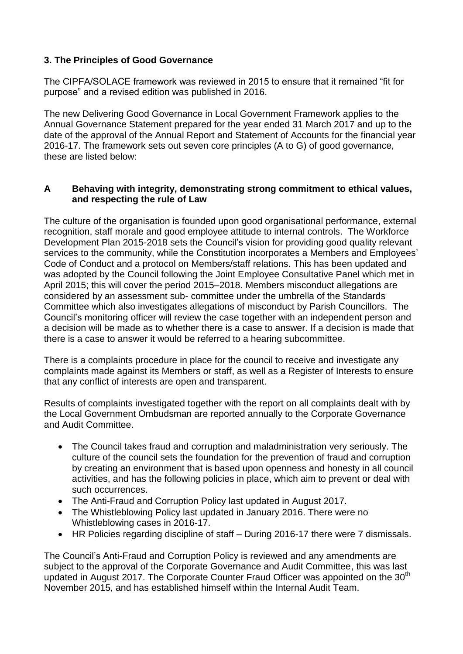## **3. The Principles of Good Governance**

The CIPFA/SOLACE framework was reviewed in 2015 to ensure that it remained "fit for purpose" and a revised edition was published in 2016.

The new Delivering Good Governance in Local Government Framework applies to the Annual Governance Statement prepared for the year ended 31 March 2017 and up to the date of the approval of the Annual Report and Statement of Accounts for the financial year 2016-17. The framework sets out seven core principles (A to G) of good governance, these are listed below:

#### **A Behaving with integrity, demonstrating strong commitment to ethical values, and respecting the rule of Law**

The culture of the organisation is founded upon good organisational performance, external recognition, staff morale and good employee attitude to internal controls. The Workforce Development Plan 2015-2018 sets the Council's vision for providing good quality relevant services to the community, while the Constitution incorporates a Members and Employees' Code of Conduct and a protocol on Members/staff relations. This has been updated and was adopted by the Council following the Joint Employee Consultative Panel which met in April 2015; this will cover the period 2015–2018. Members misconduct allegations are considered by an assessment sub- committee under the umbrella of the Standards Committee which also investigates allegations of misconduct by Parish Councillors. The Council's monitoring officer will review the case together with an independent person and a decision will be made as to whether there is a case to answer. If a decision is made that there is a case to answer it would be referred to a hearing subcommittee.

There is a complaints procedure in place for the council to receive and investigate any complaints made against its Members or staff, as well as a Register of Interests to ensure that any conflict of interests are open and transparent.

Results of complaints investigated together with the report on all complaints dealt with by the Local Government Ombudsman are reported annually to the Corporate Governance and Audit Committee.

- The Council takes fraud and corruption and maladministration very seriously. The culture of the council sets the foundation for the prevention of fraud and corruption by creating an environment that is based upon openness and honesty in all council activities, and has the following policies in place, which aim to prevent or deal with such occurrences.
- The Anti-Fraud and Corruption Policy last updated in August 2017.
- The Whistleblowing Policy last updated in January 2016. There were no Whistleblowing cases in 2016-17.
- HR Policies regarding discipline of staff During 2016-17 there were 7 dismissals.

The Council's Anti-Fraud and Corruption Policy is reviewed and any amendments are subject to the approval of the Corporate Governance and Audit Committee, this was last updated in August 2017. The Corporate Counter Fraud Officer was appointed on the 30<sup>th</sup> November 2015, and has established himself within the Internal Audit Team.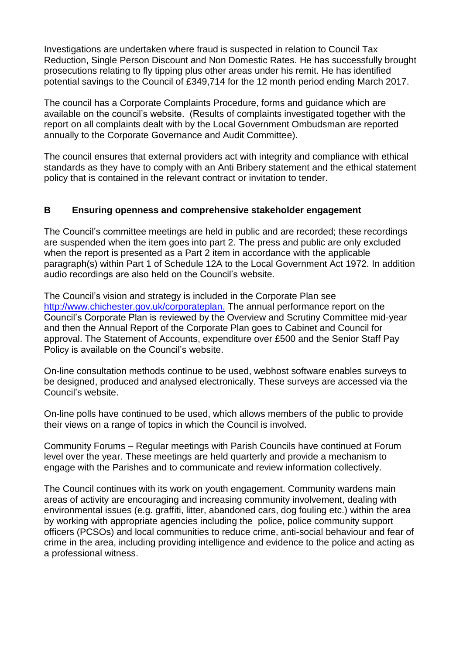Investigations are undertaken where fraud is suspected in relation to Council Tax Reduction, Single Person Discount and Non Domestic Rates. He has successfully brought prosecutions relating to fly tipping plus other areas under his remit. He has identified potential savings to the Council of £349,714 for the 12 month period ending March 2017.

The council has a Corporate Complaints Procedure, forms and guidance which are available on the council's website. (Results of complaints investigated together with the report on all complaints dealt with by the Local Government Ombudsman are reported annually to the Corporate Governance and Audit Committee).

The council ensures that external providers act with integrity and compliance with ethical standards as they have to comply with an Anti Bribery statement and the ethical statement policy that is contained in the relevant contract or invitation to tender.

## **B Ensuring openness and comprehensive stakeholder engagement**

The Council's committee meetings are held in public and are recorded; these recordings are suspended when the item goes into part 2. The press and public are only excluded when the report is presented as a Part 2 item in accordance with the applicable paragraph(s) within Part 1 of Schedule 12A to the Local Government Act 1972. In addition audio recordings are also held on the Council's website.

The Council's vision and strategy is included in the Corporate Plan see [http://www.chichester.gov.uk/corporateplan.](http://www.chichester.gov.uk/corporateplan) The annual performance report on the Council's Corporate Plan is reviewed by the Overview and Scrutiny Committee mid-year and then the Annual Report of the Corporate Plan goes to Cabinet and Council for approval. The Statement of Accounts, expenditure over £500 and the Senior Staff Pay Policy is available on the Council's website.

On-line consultation methods continue to be used, webhost software enables surveys to be designed, produced and analysed electronically. These surveys are accessed via the Council's website.

On-line polls have continued to be used, which allows members of the public to provide their views on a range of topics in which the Council is involved.

Community Forums – Regular meetings with Parish Councils have continued at Forum level over the year. These meetings are held quarterly and provide a mechanism to engage with the Parishes and to communicate and review information collectively.

The Council continues with its work on youth engagement. Community wardens main areas of activity are encouraging and increasing community involvement, dealing with environmental issues (e.g. graffiti, litter, abandoned cars, dog fouling etc.) within the area by working with appropriate agencies including the police, police community support officers (PCSOs) and local communities to reduce crime, anti-social behaviour and fear of crime in the area, including providing intelligence and evidence to the police and acting as a professional witness.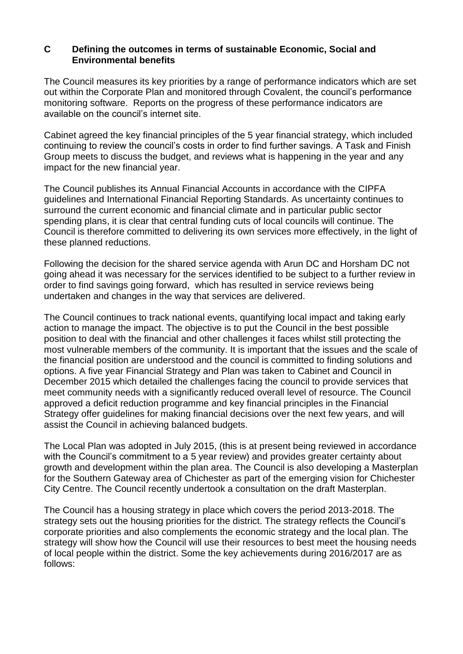#### **C Defining the outcomes in terms of sustainable Economic, Social and Environmental benefits**

The Council measures its key priorities by a range of performance indicators which are set out within the Corporate Plan and monitored through Covalent, the council's performance monitoring software. Reports on the progress of these performance indicators are available on the council's internet site.

Cabinet agreed the key financial principles of the 5 year financial strategy, which included continuing to review the council's costs in order to find further savings. A Task and Finish Group meets to discuss the budget, and reviews what is happening in the year and any impact for the new financial year.

The Council publishes its Annual Financial Accounts in accordance with the CIPFA guidelines and International Financial Reporting Standards. As uncertainty continues to surround the current economic and financial climate and in particular public sector spending plans, it is clear that central funding cuts of local councils will continue. The Council is therefore committed to delivering its own services more effectively, in the light of these planned reductions.

Following the decision for the shared service agenda with Arun DC and Horsham DC not going ahead it was necessary for the services identified to be subject to a further review in order to find savings going forward, which has resulted in service reviews being undertaken and changes in the way that services are delivered.

The Council continues to track national events, quantifying local impact and taking early action to manage the impact. The objective is to put the Council in the best possible position to deal with the financial and other challenges it faces whilst still protecting the most vulnerable members of the community. It is important that the issues and the scale of the financial position are understood and the council is committed to finding solutions and options. A five year Financial Strategy and Plan was taken to Cabinet and Council in December 2015 which detailed the challenges facing the council to provide services that meet community needs with a significantly reduced overall level of resource. The Council approved a deficit reduction programme and key financial principles in the Financial Strategy offer guidelines for making financial decisions over the next few years, and will assist the Council in achieving balanced budgets.

The Local Plan was adopted in July 2015, (this is at present being reviewed in accordance with the Council's commitment to a 5 year review) and provides greater certainty about growth and development within the plan area. The Council is also developing a Masterplan for the Southern Gateway area of Chichester as part of the emerging vision for Chichester City Centre. The Council recently undertook a consultation on the draft Masterplan.

The Council has a housing strategy in place which covers the period 2013-2018. The strategy sets out the housing priorities for the district. The strategy reflects the Council's corporate priorities and also complements the economic strategy and the local plan. The strategy will show how the Council will use their resources to best meet the housing needs of local people within the district. Some the key achievements during 2016/2017 are as follows: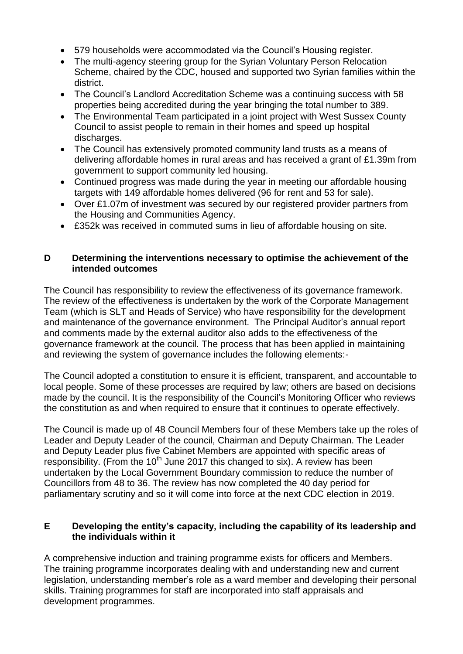- 579 households were accommodated via the Council's Housing register.
- The multi-agency steering group for the Syrian Voluntary Person Relocation Scheme, chaired by the CDC, housed and supported two Syrian families within the district.
- The Council's Landlord Accreditation Scheme was a continuing success with 58 properties being accredited during the year bringing the total number to 389.
- The Environmental Team participated in a joint project with West Sussex County Council to assist people to remain in their homes and speed up hospital discharges.
- The Council has extensively promoted community land trusts as a means of delivering affordable homes in rural areas and has received a grant of £1.39m from government to support community led housing.
- Continued progress was made during the year in meeting our affordable housing targets with 149 affordable homes delivered (96 for rent and 53 for sale).
- Over £1.07m of investment was secured by our registered provider partners from the Housing and Communities Agency.
- £352k was received in commuted sums in lieu of affordable housing on site.

#### **D Determining the interventions necessary to optimise the achievement of the intended outcomes**

The Council has responsibility to review the effectiveness of its governance framework. The review of the effectiveness is undertaken by the work of the Corporate Management Team (which is SLT and Heads of Service) who have responsibility for the development and maintenance of the governance environment. The Principal Auditor's annual report and comments made by the external auditor also adds to the effectiveness of the governance framework at the council. The process that has been applied in maintaining and reviewing the system of governance includes the following elements:-

The Council adopted a constitution to ensure it is efficient, transparent, and accountable to local people. Some of these processes are required by law; others are based on decisions made by the council. It is the responsibility of the Council's Monitoring Officer who reviews the constitution as and when required to ensure that it continues to operate effectively.

The Council is made up of 48 Council Members four of these Members take up the roles of Leader and Deputy Leader of the council, Chairman and Deputy Chairman. The Leader and Deputy Leader plus five Cabinet Members are appointed with specific areas of responsibility. (From the  $10<sup>th</sup>$  June 2017 this changed to six). A review has been undertaken by the Local Government Boundary commission to reduce the number of Councillors from 48 to 36. The review has now completed the 40 day period for parliamentary scrutiny and so it will come into force at the next CDC election in 2019.

## **E Developing the entity's capacity, including the capability of its leadership and the individuals within it**

A comprehensive induction and training programme exists for officers and Members. The training programme incorporates dealing with and understanding new and current legislation, understanding member's role as a ward member and developing their personal skills. Training programmes for staff are incorporated into staff appraisals and development programmes.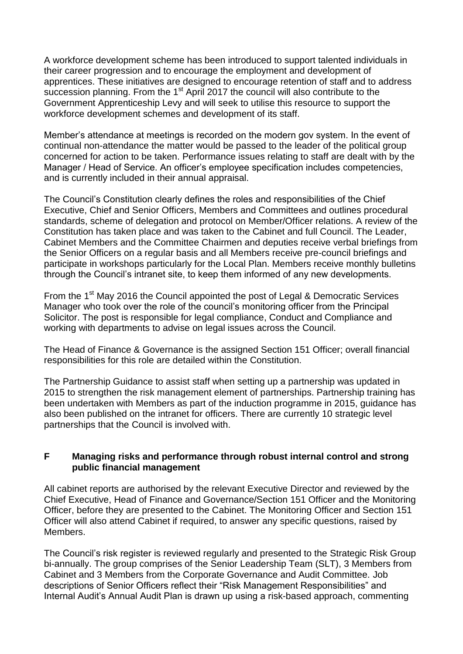A workforce development scheme has been introduced to support talented individuals in their career progression and to encourage the employment and development of apprentices. These initiatives are designed to encourage retention of staff and to address succession planning. From the  $1<sup>st</sup>$  April 2017 the council will also contribute to the Government Apprenticeship Levy and will seek to utilise this resource to support the workforce development schemes and development of its staff.

Member's attendance at meetings is recorded on the modern gov system. In the event of continual non-attendance the matter would be passed to the leader of the political group concerned for action to be taken. Performance issues relating to staff are dealt with by the Manager / Head of Service. An officer's employee specification includes competencies, and is currently included in their annual appraisal.

The Council's Constitution clearly defines the roles and responsibilities of the Chief Executive, Chief and Senior Officers, Members and Committees and outlines procedural standards, scheme of delegation and protocol on Member/Officer relations. A review of the Constitution has taken place and was taken to the Cabinet and full Council. The Leader, Cabinet Members and the Committee Chairmen and deputies receive verbal briefings from the Senior Officers on a regular basis and all Members receive pre-council briefings and participate in workshops particularly for the Local Plan. Members receive monthly bulletins through the Council's intranet site, to keep them informed of any new developments.

From the 1<sup>st</sup> May 2016 the Council appointed the post of Legal & Democratic Services Manager who took over the role of the council's monitoring officer from the Principal Solicitor. The post is responsible for legal compliance, Conduct and Compliance and working with departments to advise on legal issues across the Council.

The Head of Finance & Governance is the assigned Section 151 Officer; overall financial responsibilities for this role are detailed within the Constitution.

The Partnership Guidance to assist staff when setting up a partnership was updated in 2015 to strengthen the risk management element of partnerships. Partnership training has been undertaken with Members as part of the induction programme in 2015, guidance has also been published on the intranet for officers. There are currently 10 strategic level partnerships that the Council is involved with.

#### **F Managing risks and performance through robust internal control and strong public financial management**

All cabinet reports are authorised by the relevant Executive Director and reviewed by the Chief Executive, Head of Finance and Governance/Section 151 Officer and the Monitoring Officer, before they are presented to the Cabinet. The Monitoring Officer and Section 151 Officer will also attend Cabinet if required, to answer any specific questions, raised by Members.

The Council's risk register is reviewed regularly and presented to the Strategic Risk Group bi-annually. The group comprises of the Senior Leadership Team (SLT), 3 Members from Cabinet and 3 Members from the Corporate Governance and Audit Committee. Job descriptions of Senior Officers reflect their "Risk Management Responsibilities" and Internal Audit's Annual Audit Plan is drawn up using a risk-based approach, commenting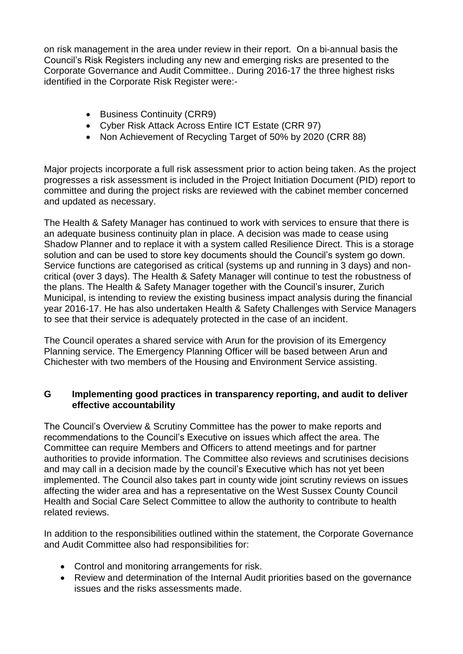on risk management in the area under review in their report. On a bi-annual basis the Council's Risk Registers including any new and emerging risks are presented to the Corporate Governance and Audit Committee.. During 2016-17 the three highest risks identified in the Corporate Risk Register were:-

- Business Continuity (CRR9)
- Cyber Risk Attack Across Entire ICT Estate (CRR 97)
- Non Achievement of Recycling Target of 50% by 2020 (CRR 88)

Major projects incorporate a full risk assessment prior to action being taken. As the project progresses a risk assessment is included in the Project Initiation Document (PID) report to committee and during the project risks are reviewed with the cabinet member concerned and updated as necessary.

The Health & Safety Manager has continued to work with services to ensure that there is an adequate business continuity plan in place. A decision was made to cease using Shadow Planner and to replace it with a system called Resilience Direct. This is a storage solution and can be used to store key documents should the Council's system go down. Service functions are categorised as critical (systems up and running in 3 days) and noncritical (over 3 days). The Health & Safety Manager will continue to test the robustness of the plans. The Health & Safety Manager together with the Council's insurer, Zurich Municipal, is intending to review the existing business impact analysis during the financial year 2016-17. He has also undertaken Health & Safety Challenges with Service Managers to see that their service is adequately protected in the case of an incident.

The Council operates a shared service with Arun for the provision of its Emergency Planning service. The Emergency Planning Officer will be based between Arun and Chichester with two members of the Housing and Environment Service assisting.

#### **G Implementing good practices in transparency reporting, and audit to deliver effective accountability**

The Council's Overview & Scrutiny Committee has the power to make reports and recommendations to the Council's Executive on issues which affect the area. The Committee can require Members and Officers to attend meetings and for partner authorities to provide information. The Committee also reviews and scrutinises decisions and may call in a decision made by the council's Executive which has not yet been implemented. The Council also takes part in county wide joint scrutiny reviews on issues affecting the wider area and has a representative on the West Sussex County Council Health and Social Care Select Committee to allow the authority to contribute to health related reviews.

In addition to the responsibilities outlined within the statement, the Corporate Governance and Audit Committee also had responsibilities for:

- Control and monitoring arrangements for risk.
- Review and determination of the Internal Audit priorities based on the governance issues and the risks assessments made.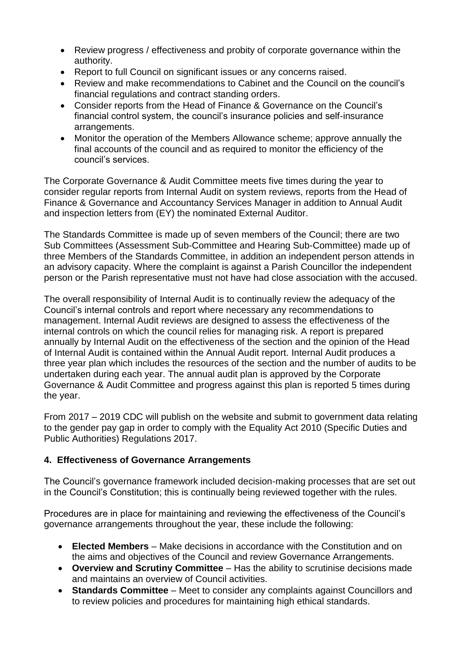- Review progress / effectiveness and probity of corporate governance within the authority.
- Report to full Council on significant issues or any concerns raised.
- Review and make recommendations to Cabinet and the Council on the council's financial regulations and contract standing orders.
- Consider reports from the Head of Finance & Governance on the Council's financial control system, the council's insurance policies and self-insurance arrangements.
- Monitor the operation of the Members Allowance scheme; approve annually the final accounts of the council and as required to monitor the efficiency of the council's services.

The Corporate Governance & Audit Committee meets five times during the year to consider regular reports from Internal Audit on system reviews, reports from the Head of Finance & Governance and Accountancy Services Manager in addition to Annual Audit and inspection letters from (EY) the nominated External Auditor.

The Standards Committee is made up of seven members of the Council; there are two Sub Committees (Assessment Sub-Committee and Hearing Sub-Committee) made up of three Members of the Standards Committee, in addition an independent person attends in an advisory capacity. Where the complaint is against a Parish Councillor the independent person or the Parish representative must not have had close association with the accused.

The overall responsibility of Internal Audit is to continually review the adequacy of the Council's internal controls and report where necessary any recommendations to management. Internal Audit reviews are designed to assess the effectiveness of the internal controls on which the council relies for managing risk. A report is prepared annually by Internal Audit on the effectiveness of the section and the opinion of the Head of Internal Audit is contained within the Annual Audit report. Internal Audit produces a three year plan which includes the resources of the section and the number of audits to be undertaken during each year. The annual audit plan is approved by the Corporate Governance & Audit Committee and progress against this plan is reported 5 times during the year.

From 2017 – 2019 CDC will publish on the website and submit to government data relating to the gender pay gap in order to comply with the Equality Act 2010 (Specific Duties and Public Authorities) Regulations 2017.

## **4. Effectiveness of Governance Arrangements**

The Council's governance framework included decision-making processes that are set out in the Council's Constitution; this is continually being reviewed together with the rules.

Procedures are in place for maintaining and reviewing the effectiveness of the Council's governance arrangements throughout the year, these include the following:

- **Elected Members** Make decisions in accordance with the Constitution and on the aims and objectives of the Council and review Governance Arrangements.
- **Overview and Scrutiny Committee** Has the ability to scrutinise decisions made and maintains an overview of Council activities.
- **Standards Committee** Meet to consider any complaints against Councillors and to review policies and procedures for maintaining high ethical standards.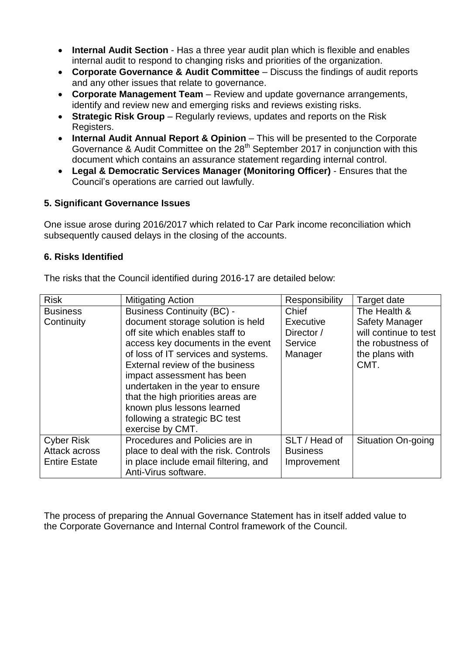- **Internal Audit Section**  Has a three year audit plan which is flexible and enables internal audit to respond to changing risks and priorities of the organization.
- **Corporate Governance & Audit Committee** Discuss the findings of audit reports and any other issues that relate to governance.
- **Corporate Management Team** Review and update governance arrangements, identify and review new and emerging risks and reviews existing risks.
- **Strategic Risk Group** Regularly reviews, updates and reports on the Risk Registers.
- **Internal Audit Annual Report & Opinion** This will be presented to the Corporate Governance & Audit Committee on the 28<sup>th</sup> September 2017 in conjunction with this document which contains an assurance statement regarding internal control.
- **Legal & Democratic Services Manager (Monitoring Officer)** Ensures that the Council's operations are carried out lawfully.

# **5. Significant Governance Issues**

One issue arose during 2016/2017 which related to Car Park income reconciliation which subsequently caused delays in the closing of the accounts.

## **6. Risks Identified**

The risks that the Council identified during 2016-17 are detailed below:

| <b>Risk</b>          | <b>Mitigating Action</b>              | Responsibility  | Target date           |
|----------------------|---------------------------------------|-----------------|-----------------------|
| <b>Business</b>      | <b>Business Continuity (BC) -</b>     | Chief           | The Health &          |
| Continuity           | document storage solution is held     | Executive       | <b>Safety Manager</b> |
|                      | off site which enables staff to       | Director /      | will continue to test |
|                      | access key documents in the event     | Service         | the robustness of     |
|                      | of loss of IT services and systems.   | Manager         | the plans with        |
|                      | External review of the business       |                 | CMT.                  |
|                      | impact assessment has been            |                 |                       |
|                      | undertaken in the year to ensure      |                 |                       |
|                      | that the high priorities areas are    |                 |                       |
|                      | known plus lessons learned            |                 |                       |
|                      | following a strategic BC test         |                 |                       |
|                      | exercise by CMT.                      |                 |                       |
| <b>Cyber Risk</b>    | Procedures and Policies are in        | SLT / Head of   | Situation On-going    |
| Attack across        | place to deal with the risk. Controls | <b>Business</b> |                       |
| <b>Entire Estate</b> | in place include email filtering, and | Improvement     |                       |
|                      | Anti-Virus software.                  |                 |                       |

The process of preparing the Annual Governance Statement has in itself added value to the Corporate Governance and Internal Control framework of the Council.